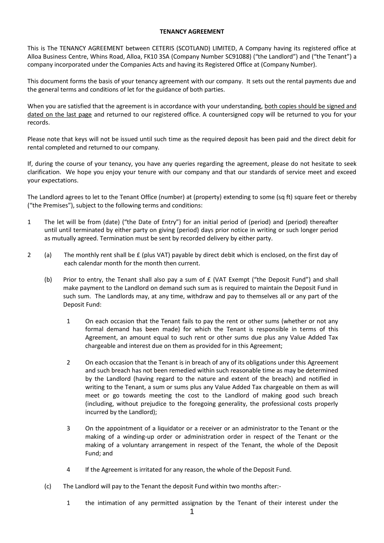## **TENANCY AGREEMENT**

This is The TENANCY AGREEMENT between CETERIS (SCOTLAND) LIMITED, A Company having its registered office at Alloa Business Centre, Whins Road, Alloa, FK10 3SA (Company Number SC91088) ("the Landlord") and ("the Tenant") a company incorporated under the Companies Acts and having its Registered Office at (Company Number).

This document forms the basis of your tenancy agreement with our company. It sets out the rental payments due and the general terms and conditions of let for the guidance of both parties.

When you are satisfied that the agreement is in accordance with your understanding, both copies should be signed and dated on the last page and returned to our registered office. A countersigned copy will be returned to you for your records.

Please note that keys will not be issued until such time as the required deposit has been paid and the direct debit for rental completed and returned to our company.

If, during the course of your tenancy, you have any queries regarding the agreement, please do not hesitate to seek clarification. We hope you enjoy your tenure with our company and that our standards of service meet and exceed your expectations.

The Landlord agrees to let to the Tenant Office (number) at (property) extending to some (sq ft) square feet or thereby ("the Premises"), subject to the following terms and conditions:

- 1 The let will be from (date) ("the Date of Entry") for an initial period of (period) and (period) thereafter until until terminated by either party on giving (period) days prior notice in writing or such longer period as mutually agreed. Termination must be sent by recorded delivery by either party.
- 2 (a) The monthly rent shall be £ (plus VAT) payable by direct debit which is enclosed, on the first day of each calendar month for the month then current.
	- (b) Prior to entry, the Tenant shall also pay a sum of £ (VAT Exempt ("the Deposit Fund") and shall make payment to the Landlord on demand such sum as is required to maintain the Deposit Fund in such sum. The Landlords may, at any time, withdraw and pay to themselves all or any part of the Deposit Fund:
		- 1 On each occasion that the Tenant fails to pay the rent or other sums (whether or not any formal demand has been made) for which the Tenant is responsible in terms of this Agreement, an amount equal to such rent or other sums due plus any Value Added Tax chargeable and interest due on them as provided for in this Agreement;
		- 2 On each occasion that the Tenant is in breach of any of its obligations under this Agreement and such breach has not been remedied within such reasonable time as may be determined by the Landlord (having regard to the nature and extent of the breach) and notified in writing to the Tenant, a sum or sums plus any Value Added Tax chargeable on them as will meet or go towards meeting the cost to the Landlord of making good such breach (including, without prejudice to the foregoing generality, the professional costs properly incurred by the Landlord);
		- 3 On the appointment of a liquidator or a receiver or an administrator to the Tenant or the making of a winding-up order or administration order in respect of the Tenant or the making of a voluntary arrangement in respect of the Tenant, the whole of the Deposit Fund; and
		- 4 If the Agreement is irritated for any reason, the whole of the Deposit Fund.
	- (c) The Landlord will pay to the Tenant the deposit Fund within two months after:-
		- 1 the intimation of any permitted assignation by the Tenant of their interest under the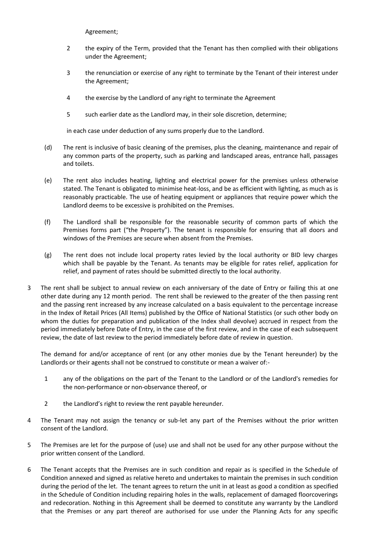Agreement;

- 2 the expiry of the Term, provided that the Tenant has then complied with their obligations under the Agreement;
- 3 the renunciation or exercise of any right to terminate by the Tenant of their interest under the Agreement;
- 4 the exercise by the Landlord of any right to terminate the Agreement
- 5 such earlier date as the Landlord may, in their sole discretion, determine;

in each case under deduction of any sums properly due to the Landlord.

- (d) The rent is inclusive of basic cleaning of the premises, plus the cleaning, maintenance and repair of any common parts of the property, such as parking and landscaped areas, entrance hall, passages and toilets.
- (e) The rent also includes heating, lighting and electrical power for the premises unless otherwise stated. The Tenant is obligated to minimise heat-loss, and be as efficient with lighting, as much as is reasonably practicable. The use of heating equipment or appliances that require power which the Landlord deems to be excessive is prohibited on the Premises.
- (f) The Landlord shall be responsible for the reasonable security of common parts of which the Premises forms part ("the Property"). The tenant is responsible for ensuring that all doors and windows of the Premises are secure when absent from the Premises.
- (g) The rent does not include local property rates levied by the local authority or BID levy charges which shall be payable by the Tenant. As tenants may be eligible for rates relief, application for relief, and payment of rates should be submitted directly to the local authority.
- 3 The rent shall be subject to annual review on each anniversary of the date of Entry or failing this at one other date during any 12 month period. The rent shall be reviewed to the greater of the then passing rent and the passing rent increased by any increase calculated on a basis equivalent to the percentage increase in the Index of Retail Prices (All Items) published by the Office of National Statistics (or such other body on whom the duties for preparation and publication of the Index shall devolve) accrued in respect from the period immediately before Date of Entry, in the case of the first review, and in the case of each subsequent review, the date of last review to the period immediately before date of review in question.

The demand for and/or acceptance of rent (or any other monies due by the Tenant hereunder) by the Landlords or their agents shall not be construed to constitute or mean a waiver of:-

- 1 any of the obligations on the part of the Tenant to the Landlord or of the Landlord's remedies for the non-performance or non-observance thereof, or
- 2 the Landlord's right to review the rent payable hereunder.
- 4 The Tenant may not assign the tenancy or sub-let any part of the Premises without the prior written consent of the Landlord.
- 5 The Premises are let for the purpose of (use) use and shall not be used for any other purpose without the prior written consent of the Landlord.
- 6 The Tenant accepts that the Premises are in such condition and repair as is specified in the Schedule of Condition annexed and signed as relative hereto and undertakes to maintain the premises in such condition during the period of the let. The tenant agrees to return the unit in at least as good a condition as specified in the Schedule of Condition including repairing holes in the walls, replacement of damaged floorcoverings and redecoration. Nothing in this Agreement shall be deemed to constitute any warranty by the Landlord that the Premises or any part thereof are authorised for use under the Planning Acts for any specific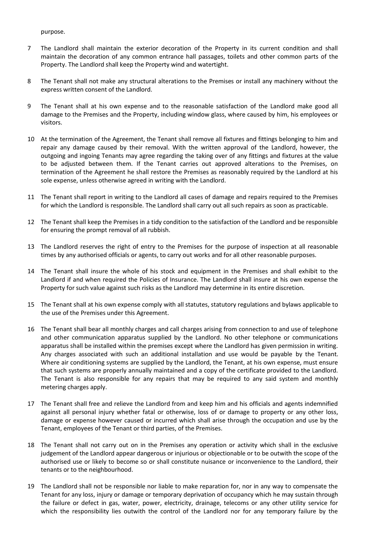purpose.

- 7 The Landlord shall maintain the exterior decoration of the Property in its current condition and shall maintain the decoration of any common entrance hall passages, toilets and other common parts of the Property. The Landlord shall keep the Property wind and watertight.
- 8 The Tenant shall not make any structural alterations to the Premises or install any machinery without the express written consent of the Landlord.
- 9 The Tenant shall at his own expense and to the reasonable satisfaction of the Landlord make good all damage to the Premises and the Property, including window glass, where caused by him, his employees or visitors.
- 10 At the termination of the Agreement, the Tenant shall remove all fixtures and fittings belonging to him and repair any damage caused by their removal. With the written approval of the Landlord, however, the outgoing and ingoing Tenants may agree regarding the taking over of any fittings and fixtures at the value to be adjusted between them. If the Tenant carries out approved alterations to the Premises, on termination of the Agreement he shall restore the Premises as reasonably required by the Landlord at his sole expense, unless otherwise agreed in writing with the Landlord.
- 11 The Tenant shall report in writing to the Landlord all cases of damage and repairs required to the Premises for which the Landlord is responsible. The Landlord shall carry out all such repairs as soon as practicable.
- 12 The Tenant shall keep the Premises in a tidy condition to the satisfaction of the Landlord and be responsible for ensuring the prompt removal of all rubbish.
- 13 The Landlord reserves the right of entry to the Premises for the purpose of inspection at all reasonable times by any authorised officials or agents, to carry out works and for all other reasonable purposes.
- 14 The Tenant shall insure the whole of his stock and equipment in the Premises and shall exhibit to the Landlord if and when required the Policies of Insurance. The Landlord shall insure at his own expense the Property for such value against such risks as the Landlord may determine in its entire discretion.
- 15 The Tenant shall at his own expense comply with all statutes, statutory regulations and bylaws applicable to the use of the Premises under this Agreement.
- 16 The Tenant shall bear all monthly charges and call charges arising from connection to and use of telephone and other communication apparatus supplied by the Landlord. No other telephone or communications apparatus shall be installed within the premises except where the Landlord has given permission in writing. Any charges associated with such an additional installation and use would be payable by the Tenant. Where air conditioning systems are supplied by the Landlord, the Tenant, at his own expense, must ensure that such systems are properly annually maintained and a copy of the certificate provided to the Landlord. The Tenant is also responsible for any repairs that may be required to any said system and monthly metering charges apply.
- 17 The Tenant shall free and relieve the Landlord from and keep him and his officials and agents indemnified against all personal injury whether fatal or otherwise, loss of or damage to property or any other loss, damage or expense however caused or incurred which shall arise through the occupation and use by the Tenant, employees of the Tenant or third parties, of the Premises.
- 18 The Tenant shall not carry out on in the Premises any operation or activity which shall in the exclusive judgement of the Landlord appear dangerous or injurious or objectionable or to be outwith the scope of the authorised use or likely to become so or shall constitute nuisance or inconvenience to the Landlord, their tenants or to the neighbourhood.
- 19 The Landlord shall not be responsible nor liable to make reparation for, nor in any way to compensate the Tenant for any loss, injury or damage or temporary deprivation of occupancy which he may sustain through the failure or defect in gas, water, power, electricity, drainage, telecoms or any other utility service for which the responsibility lies outwith the control of the Landlord nor for any temporary failure by the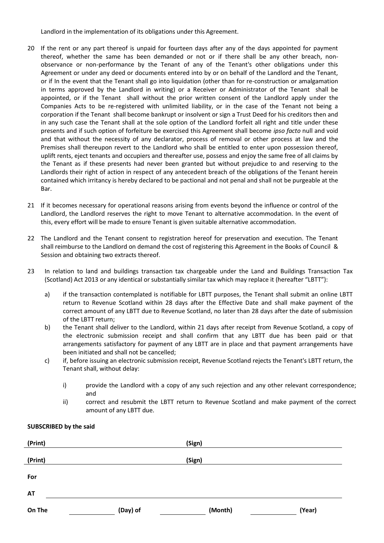Landlord in the implementation of its obligations under this Agreement.

- 20 If the rent or any part thereof is unpaid for fourteen days after any of the days appointed for payment thereof, whether the same has been demanded or not or if there shall be any other breach, nonobservance or non-performance by the Tenant of any of the Tenant's other obligations under this Agreement or under any deed or documents entered into by or on behalf of the Landlord and the Tenant, or if In the event that the Tenant shall go into liquidation (other than for re-construction or amalgamation in terms approved by the Landlord in writing) or a Receiver or Administrator of the Tenant shall be appointed, or if the Tenant shall without the prior written consent of the Landlord apply under the Companies Acts to be re-registered with unlimited liability, or in the case of the Tenant not being a corporation if the Tenant shall become bankrupt or insolvent or sign a Trust Deed for his creditors then and in any such case the Tenant shall at the sole option of the Landlord forfeit all right and title under these presents and if such option of forfeiture be exercised this Agreement shall become *ipso facto* null and void and that without the necessity of any declarator, process of removal or other process at law and the Premises shall thereupon revert to the Landlord who shall be entitled to enter upon possession thereof, uplift rents, eject tenants and occupiers and thereafter use, possess and enjoy the same free of all claims by the Tenant as if these presents had never been granted but without prejudice to and reserving to the Landlords their right of action in respect of any antecedent breach of the obligations of the Tenant herein contained which irritancy is hereby declared to be pactional and not penal and shall not be purgeable at the Bar.
- 21 If it becomes necessary for operational reasons arising from events beyond the influence or control of the Landlord, the Landlord reserves the right to move Tenant to alternative accommodation. In the event of this, every effort will be made to ensure Tenant is given suitable alternative accommodation.
- 22 The Landlord and the Tenant consent to registration hereof for preservation and execution. The Tenant shall reimburse to the Landlord on demand the cost of registering this Agreement in the Books of Council & Session and obtaining two extracts thereof.
- 23 In relation to land and buildings transaction tax chargeable under the Land and Buildings Transaction Tax (Scotland) Act 2013 or any identical or substantially similar tax which may replace it (hereafter "LBTT"):
	- a) if the transaction contemplated is notifiable for LBTT purposes, the Tenant shall submit an online LBTT return to Revenue Scotland within 28 days after the Effective Date and shall make payment of the correct amount of any LBTT due to Revenue Scotland, no later than 28 days after the date of submission of the LBTT return;
	- b) the Tenant shall deliver to the Landlord, within 21 days after receipt from Revenue Scotland, a copy of the electronic submission receipt and shall confirm that any LBTT due has been paid or that arrangements satisfactory for payment of any LBTT are in place and that payment arrangements have been initiated and shall not be cancelled;
	- c) if, before issuing an electronic submission receipt, Revenue Scotland rejects the Tenant's LBTT return, the Tenant shall, without delay:
		- i) provide the Landlord with a copy of any such rejection and any other relevant correspondence; and
		- ii) correct and resubmit the LBTT return to Revenue Scotland and make payment of the correct amount of any LBTT due.

## **SUBSCRIBED by the said**

| (Print)   |          | (Sign)  |        |
|-----------|----------|---------|--------|
| (Print)   |          | (Sign)  |        |
|           |          |         |        |
| For       |          |         |        |
| <b>AT</b> |          |         |        |
| On The    | (Day) of | (Month) | (Year) |